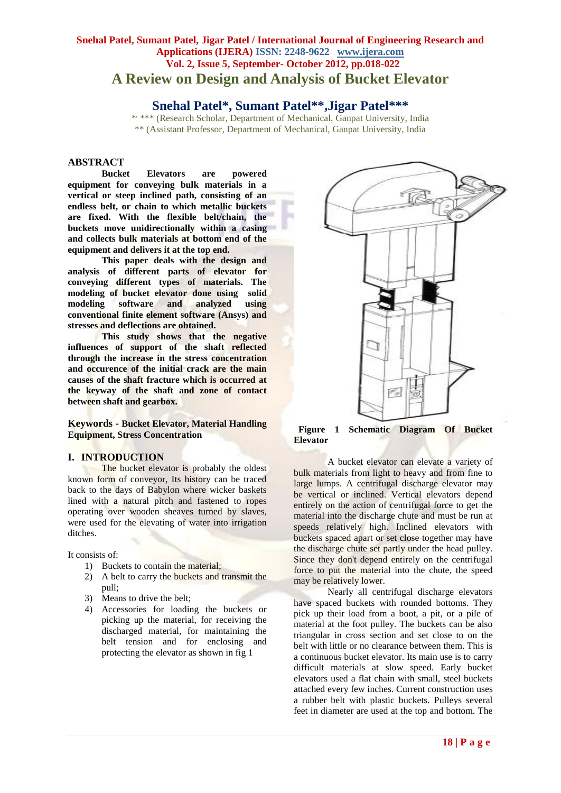# **Snehal Patel, Sumant Patel, Jigar Patel / International Journal of Engineering Research and Applications (IJERA) ISSN: 2248-9622 www.ijera.com Vol. 2, Issue 5, September- October 2012, pp.018-022 A Review on Design and Analysis of Bucket Elevator**

# **Snehal Patel\*, Sumant Patel\*\*,Jigar Patel\*\*\***

\* \*\*\* (Research Scholar, Department of Mechanical, Ganpat University, India \*\* (Assistant Professor, Department of Mechanical, Ganpat University, India

# **ABSTRACT**

**Bucket Elevators are powered equipment for conveying bulk materials in a vertical or steep inclined path, consisting of an endless belt, or chain to which metallic buckets are fixed. With the flexible belt/chain, the buckets move unidirectionally within a casing and collects bulk materials at bottom end of the equipment and delivers it at the top end.**

**This paper deals with the design and analysis of different parts of elevator for conveying different types of materials. The modeling of bucket elevator done using solid**  modeling software and analyzed **conventional finite element software (Ansys) and stresses and deflections are obtained.**

**This study shows that the negative influences of support of the shaft reflected through the increase in the stress concentration and occurence of the initial crack are the main causes of the shaft fracture which is occurred at the keyway of the shaft and zone of contact between shaft and gearbox.**

**Keywords - Bucket Elevator, Material Handling Equipment, Stress Concentration**

#### **I. INTRODUCTION**

The bucket elevator is probably the oldest known form of conveyor, Its history can be traced back to the days of Babylon where wicker baskets lined with a natural pitch and fastened to ropes operating over wooden sheaves turned by slaves, were used for the elevating of water into irrigation ditches.

It consists of:

- 1) Buckets to contain the material;
- 2) A belt to carry the buckets and transmit the pull;
- 3) Means to drive the belt;
- 4) Accessories for loading the buckets or picking up the material, for receiving the discharged material, for maintaining the belt tension and for enclosing and protecting the elevator as shown in fig 1



 **Figure 1 Schematic Diagram Of Bucket Elevator**

A bucket elevator can elevate a variety of bulk materials from light to heavy and from fine to large lumps. A centrifugal discharge elevator may be vertical or inclined. Vertical elevators depend entirely on the action of centrifugal force to get the material into the discharge chute and must be run at speeds relatively high. Inclined elevators with buckets spaced apart or set close together may have the discharge chute set partly under the head pulley. Since they don't depend entirely on the centrifugal force to put the material into the chute, the speed may be relatively lower.

Nearly all centrifugal discharge elevators have spaced buckets with rounded bottoms. They pick up their load from a boot, a pit, or a pile of material at the foot pulley. The buckets can be also triangular in cross section and set close to on the belt with little or no clearance between them. This is a continuous bucket elevator. Its main use is to carry difficult materials at slow speed. Early bucket elevators used a flat chain with small, steel buckets attached every few inches. Current construction uses a rubber belt with plastic buckets. Pulleys several feet in diameter are used at the top and bottom. The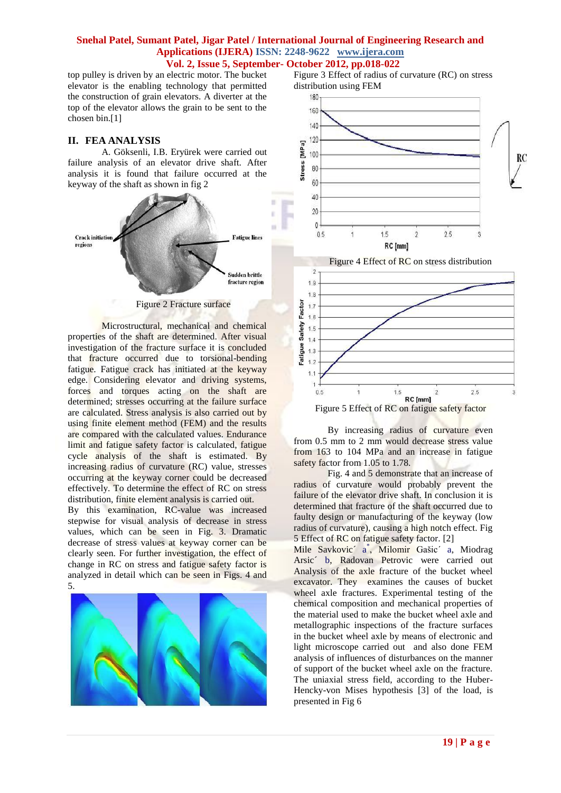top pulley is driven by an electric motor. The bucket elevator is the enabling technology that permitted the construction of grain elevators. A diverter at the top of the elevator allows the grain to be sent to the chosen bin.[1]

## **II. FEA ANALYSIS**

A. Göksenli, I.B. Eryürek were carried out failure analysis of an elevator drive shaft. After analysis it is found that failure occurred at the keyway of the shaft as shown in fig 2



Figure 2 Fracture surface

Microstructural, mechanical and chemical properties of the shaft are determined. After visual investigation of the fracture surface it is concluded that fracture occurred due to torsional-bending fatigue. Fatigue crack has initiated at the keyway edge. Considering elevator and driving systems, forces and torques acting on the shaft are determined; stresses occurring at the failure surface are calculated. Stress analysis is also carried out by using finite element method (FEM) and the results are compared with the calculated values. Endurance limit and fatigue safety factor is calculated, fatigue cycle analysis of the shaft is estimated. By increasing radius of curvature (RC) value, stresses occurring at the keyway corner could be decreased effectively. To determine the effect of RC on stress distribution, finite element analysis is carried out.

By this examination, RC-value was increased stepwise for visual analysis of decrease in stress values, which can be seen in Fig. 3. Dramatic decrease of stress values at keyway corner can be clearly seen. For further investigation, the effect of change in RC on stress and fatigue safety factor is analyzed in detail which can be seen in Figs. 4 and 5.



Figure 3 Effect of radius of curvature (RC) on stress distribution using FEM



Figure 5 Effect of RC on fatigue safety factor

By increasing radius of curvature even from 0.5 mm to 2 mm would decrease stress value from 163 to 104 MPa and an increase in fatigue safety factor from 1.05 to 1.78.

Fig. 4 and 5 demonstrate that an increase of radius of curvature would probably prevent the failure of the elevator drive shaft. In conclusion it is determined that fracture of the shaft occurred due to faulty design or manufacturing of the keyway (low radius of curvature), causing a high notch effect. Fig 5 Effect of RC on fatigue safety factor. [2]

Mile Savkovic<sup>'</sup> a<sup>\*</sup>, Milomir Gašic<sup>'</sup> a, Miodrag Arsic´ b, Radovan Petrovic were carried out Analysis of the axle fracture of the bucket wheel excavator. They examines the causes of bucket wheel axle fractures. Experimental testing of the chemical composition and mechanical properties of the material used to make the bucket wheel axle and metallographic inspections of the fracture surfaces in the bucket wheel axle by means of electronic and light microscope carried out and also done FEM analysis of influences of disturbances on the manner of support of the bucket wheel axle on the fracture. The uniaxial stress field, according to the Huber-Hencky-von Mises hypothesis [3] of the load, is presented in Fig 6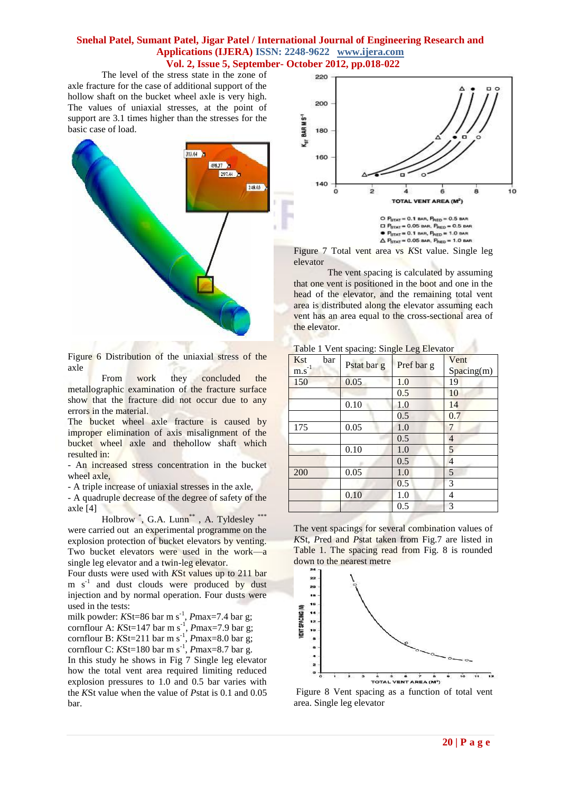The level of the stress state in the zone of axle fracture for the case of additional support of the hollow shaft on the bucket wheel axle is very high. The values of uniaxial stresses, at the point of support are 3.1 times higher than the stresses for the basic case of load.



Figure 6 Distribution of the uniaxial stress of the axle

From work they concluded the metallographic examination of the fracture surface show that the fracture did not occur due to any errors in the material.

The **bucket** wheel axle fracture is caused by improper elimination of axis misalignment of the bucket wheel axle and thehollow shaft which resulted in:

- An increased stress concentration in the bucket wheel axle,

- A triple increase of uniaxial stresses in the axle,

- A quadruple decrease of the degree of safety of the axle [4]

Holbrow<sup>\*</sup>, G.A. Lunn<sup>\*\*</sup>, A. Tyldesley<sup>\*\*\*</sup> were carried out an experimental programme on the explosion protection of bucket elevators by venting. Two bucket elevators were used in the work—a single leg elevator and a twin-leg elevator.

Four dusts were used with *K*St values up to 211 bar m s<sup>-1</sup> and dust clouds were produced by dust injection and by normal operation. Four dusts were used in the tests:

milk powder: *K*St=86 bar m s<sup>-1</sup>, *P*max=7.4 bar g; cornflour A:  $KSt=147$  bar m s<sup>-1</sup>,  $Pmax=7.9$  bar g; cornflour B:  $KSt=211$  bar m s<sup>-1</sup>,  $Pmax=8.0$  bar g; cornflour C:  $KSt=180$  bar m s<sup>-1</sup>,  $Pmax=8.7$  bar g.

In this study he shows in Fig 7 Single leg elevator how the total vent area required limiting reduced explosion pressures to 1.0 and 0.5 bar varies with the *K*St value when the value of *P*stat is 0.1 and 0.05 bar.



O  $P_{STAT} = 0.1$  BAR,  $P_{RED} = 0.5$  BAR  $\Box$   $P_{\text{error}} = 0.05$  BAR,  $P_{\text{zero}} = 0.5$  BAR  $P_{STAT} = 0.1$  BAR,  $P_{RED} = 1.0$  BAR  $\triangle$  P<sub>STAT</sub> = 0.05 BAR, P<sub>RED</sub> = 1.0 BAR

Figure 7 Total vent area vs *K*St value. Single leg elevator

The vent spacing is calculated by assuming that one vent is positioned in the boot and one in the head of the elevator, and the remaining total vent area is distributed along the elevator assuming each vent has an area equal to the cross-sectional area of the elevator.

| Kst<br>bar<br>$m.s^{-1}$ | Pstat bar g | Pref bar g | Vent<br>Spacing(m) |
|--------------------------|-------------|------------|--------------------|
| 150                      | 0.05        | 1.0        | 19                 |
|                          |             | 0.5        | 10                 |
|                          | 0.10        | 1.0        | 14                 |
|                          |             | 0.5        | 0.7                |
| 175                      | 0.05        | 1.0        | 7                  |
|                          |             | 0.5        | 4                  |
|                          | 0.10        | 1.0        | 5                  |
|                          |             | 0.5        | $\overline{4}$     |
| 200                      | 0.05        | 1.0        | 5                  |
|                          |             | 0.5        | 3                  |
|                          | 0.10        | 1.0        | 4                  |
|                          |             | 0.5        | 3                  |

Table 1 Vent spacing: Single Leg Elevator

The vent spacings for several combination values of *K*St, *P*red and *P*stat taken from Fig.7 are listed in Table 1. The spacing read from Fig. 8 is rounded down to the nearest metre



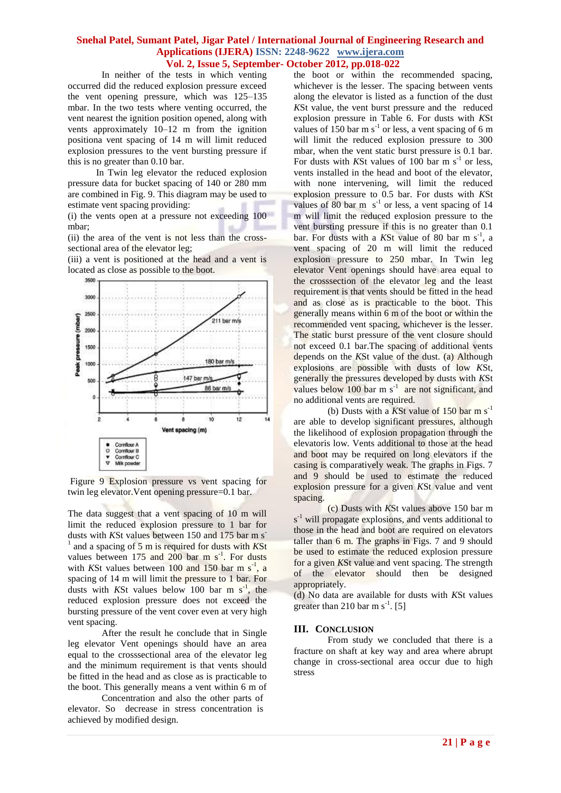In neither of the tests in which venting occurred did the reduced explosion pressure exceed the vent opening pressure, which was 125–135 mbar. In the two tests where venting occurred, the vent nearest the ignition position opened, along with vents approximately 10–12 m from the ignition positiona vent spacing of 14 m will limit reduced explosion pressures to the vent bursting pressure if this is no greater than 0.10 bar.

 In Twin leg elevator the reduced explosion pressure data for bucket spacing of 140 or 280 mm are combined in Fig. 9. This diagram may be used to estimate vent spacing providing:

(i) the vents open at a pressure not exceeding 100 mbar;

(ii) the area of the vent is not less than the crosssectional area of the elevator leg;

(iii) a vent is positioned at the head and a vent is located as close as possible to the boot.



Figure 9 Explosion pressure vs vent spacing for twin leg elevator.Vent opening pressure=0.1 bar.

The data suggest that a vent spacing of 10 m will limit the reduced explosion pressure to 1 bar for dusts with *KSt* values between 150 and 175 bar m s<sup>-</sup> 1 and a spacing of 5 m is required for dusts with *K*St values between  $175$  and  $200$  bar m  $s^{-1}$ . For dusts with KSt values between  $100$  and  $150$  bar m s<sup>-1</sup>, a spacing of 14 m will limit the pressure to 1 bar. For dusts with KSt values below 100 bar m  $s^{-1}$ , the reduced explosion pressure does not exceed the bursting pressure of the vent cover even at very high vent spacing.

After the result he conclude that in Single leg elevator Vent openings should have an area equal to the crosssectional area of the elevator leg and the minimum requirement is that vents should be fitted in the head and as close as is practicable to the boot. This generally means a vent within 6 m of

Concentration and also the other parts of elevator. So decrease in stress concentration is achieved by modified design.

the boot or within the recommended spacing, whichever is the lesser. The spacing between vents along the elevator is listed as a function of the dust *K*St value, the vent burst pressure and the reduced explosion pressure in Table 6. For dusts with *K*St values of 150 bar m  $s^{-1}$  or less, a vent spacing of 6 m will limit the reduced explosion pressure to 300 mbar, when the vent static burst pressure is 0.1 bar. For dusts with KSt values of  $100$  bar m s<sup>-1</sup> or less, vents installed in the head and boot of the elevator, with none intervening, will limit the reduced explosion pressure to 0.5 bar. For dusts with *K*St values of  $80$  bar m  $s^{-1}$  or less, a vent spacing of 14 m will limit the reduced explosion pressure to the vent bursting pressure if this is no greater than 0.1 bar. For dusts with a KSt value of 80 bar m s<sup>-1</sup> , a vent spacing of 20 m will limit the reduced explosion pressure to 250 mbar. In Twin leg elevator Vent openings should have area equal to the crosssection of the elevator leg and the least requirement is that vents should be fitted in the head and as close as is practicable to the boot. This generally means within 6 m of the boot or within the recommended vent spacing, whichever is the lesser. The static burst pressure of the vent closure should not exceed 0.1 bar.The spacing of additional vents depends on the *K*St value of the dust. (a) Although explosions are possible with dusts of low *K*St, generally the pressures developed by dusts with *K*St values below  $100$  bar m s<sup>-1</sup> are not significant, and no additional vents are required.

(b) Dusts with a  $\overline{KSt}$  value of 150 bar m s<sup>-1</sup> are able to develop significant pressures, although the likelihood of explosion propagation through the elevatoris low. Vents additional to those at the head and boot may be required on long elevators if the casing is comparatively weak. The graphs in Figs. 7 and 9 should be used to estimate the reduced explosion pressure for a given *K*St value and vent spacing.

(c) Dusts with *K*St values above 150 bar m  $s<sup>-1</sup>$  will propagate explosions, and vents additional to those in the head and boot are required on elevators taller than 6 m. The graphs in Figs. 7 and 9 should be used to estimate the reduced explosion pressure for a given *K*St value and vent spacing. The strength of the elevator should then be designed appropriately.

(d) No data are available for dusts with *K*St values greater than 210 bar m s<sup>-1</sup>. [5]

#### **III. CONCLUSION**

From study we concluded that there is a fracture on shaft at key way and area where abrupt change in cross-sectional area occur due to high stress